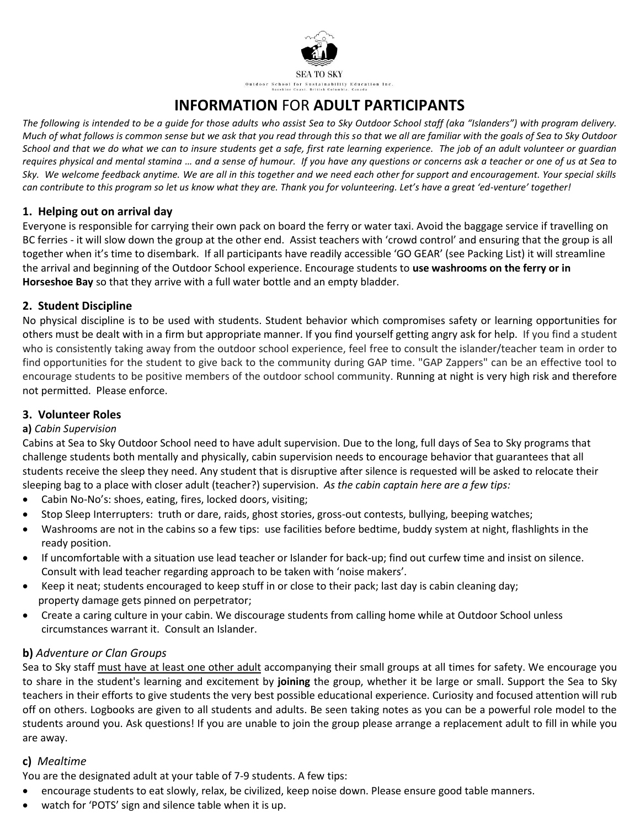

# **INFORMATION** FOR **ADULT PARTICIPANTS**

*The following is intended to be a guide for those adults who assist Sea to Sky Outdoor School staff (aka "Islanders") with program delivery. Much of what follows is common sense but we ask that you read through this so that we all are familiar with the goals of Sea to Sky Outdoor School and that we do what we can to insure students get a safe, first rate learning experience. The job of an adult volunteer or guardian requires physical and mental stamina … and a sense of humour. If you have any questions or concerns ask a teacher or one of us at Sea to Sky. We welcome feedback anytime. We are all in this together and we need each other for support and encouragement. Your special skills can contribute to this program so let us know what they are. Thank you for volunteering. Let's have a great 'ed-venture' together!*

# **1. Helping out on arrival day**

Everyone is responsible for carrying their own pack on board the ferry or water taxi. Avoid the baggage service if travelling on BC ferries - it will slow down the group at the other end. Assist teachers with 'crowd control' and ensuring that the group is all together when it's time to disembark. If all participants have readily accessible 'GO GEAR' (see Packing List) it will streamline the arrival and beginning of the Outdoor School experience. Encourage students to **use washrooms on the ferry or in Horseshoe Bay** so that they arrive with a full water bottle and an empty bladder.

# **2. Student Discipline**

No physical discipline is to be used with students. Student behavior which compromises safety or learning opportunities for others must be dealt with in a firm but appropriate manner. If you find yourself getting angry ask for help. If you find a student who is consistently taking away from the outdoor school experience, feel free to consult the islander/teacher team in order to find opportunities for the student to give back to the community during GAP time. "GAP Zappers" can be an effective tool to encourage students to be positive members of the outdoor school community. Running at night is very high risk and therefore not permitted. Please enforce.

# **3. Volunteer Roles**

# **a)** *Cabin Supervision*

Cabins at Sea to Sky Outdoor School need to have adult supervision. Due to the long, full days of Sea to Sky programs that challenge students both mentally and physically, cabin supervision needs to encourage behavior that guarantees that all students receive the sleep they need. Any student that is disruptive after silence is requested will be asked to relocate their sleeping bag to a place with closer adult (teacher?) supervision. *As the cabin captain here are a few tips:* 

- Cabin No-No's: shoes, eating, fires, locked doors, visiting;
- Stop Sleep Interrupters: truth or dare, raids, ghost stories, gross-out contests, bullying, beeping watches;
- Washrooms are not in the cabins so a few tips: use facilities before bedtime, buddy system at night, flashlights in the ready position.
- If uncomfortable with a situation use lead teacher or Islander for back-up; find out curfew time and insist on silence. Consult with lead teacher regarding approach to be taken with 'noise makers'.
- Keep it neat; students encouraged to keep stuff in or close to their pack; last day is cabin cleaning day; property damage gets pinned on perpetrator;
- Create a caring culture in your cabin. We discourage students from calling home while at Outdoor School unless circumstances warrant it. Consult an Islander.

# **b)** *Adventure or Clan Groups*

Sea to Sky staff must have at least one other adult accompanying their small groups at all times for safety. We encourage you to share in the student's learning and excitement by **joining** the group, whether it be large or small. Support the Sea to Sky teachers in their efforts to give students the very best possible educational experience. Curiosity and focused attention will rub off on others. Logbooks are given to all students and adults. Be seen taking notes as you can be a powerful role model to the students around you. Ask questions! If you are unable to join the group please arrange a replacement adult to fill in while you are away.

# **c)** *Mealtime*

You are the designated adult at your table of 7-9 students. A few tips:

- encourage students to eat slowly, relax, be civilized, keep noise down. Please ensure good table manners.
- watch for 'POTS' sign and silence table when it is up.